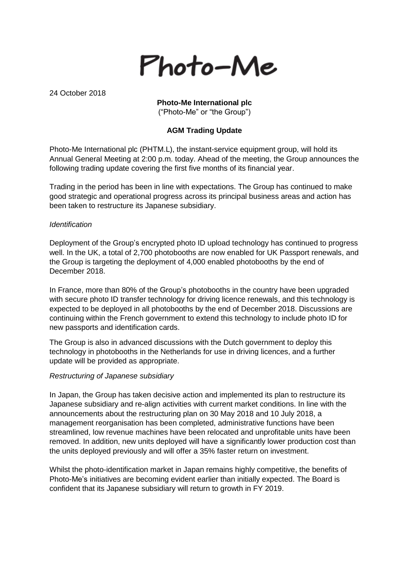

24 October 2018

# **Photo-Me International plc**

("Photo-Me" or "the Group")

# **AGM Trading Update**

Photo-Me International plc (PHTM.L), the instant-service equipment group, will hold its Annual General Meeting at 2:00 p.m. today. Ahead of the meeting, the Group announces the following trading update covering the first five months of its financial year.

Trading in the period has been in line with expectations. The Group has continued to make good strategic and operational progress across its principal business areas and action has been taken to restructure its Japanese subsidiary.

#### *Identification*

Deployment of the Group's encrypted photo ID upload technology has continued to progress well. In the UK, a total of 2,700 photobooths are now enabled for UK Passport renewals, and the Group is targeting the deployment of 4,000 enabled photobooths by the end of December 2018.

In France, more than 80% of the Group's photobooths in the country have been upgraded with secure photo ID transfer technology for driving licence renewals, and this technology is expected to be deployed in all photobooths by the end of December 2018. Discussions are continuing within the French government to extend this technology to include photo ID for new passports and identification cards.

The Group is also in advanced discussions with the Dutch government to deploy this technology in photobooths in the Netherlands for use in driving licences, and a further update will be provided as appropriate.

#### *Restructuring of Japanese subsidiary*

In Japan, the Group has taken decisive action and implemented its plan to restructure its Japanese subsidiary and re-align activities with current market conditions. In line with the announcements about the restructuring plan on 30 May 2018 and 10 July 2018, a management reorganisation has been completed, administrative functions have been streamlined, low revenue machines have been relocated and unprofitable units have been removed. In addition, new units deployed will have a significantly lower production cost than the units deployed previously and will offer a 35% faster return on investment.

Whilst the photo-identification market in Japan remains highly competitive, the benefits of Photo-Me's initiatives are becoming evident earlier than initially expected. The Board is confident that its Japanese subsidiary will return to growth in FY 2019.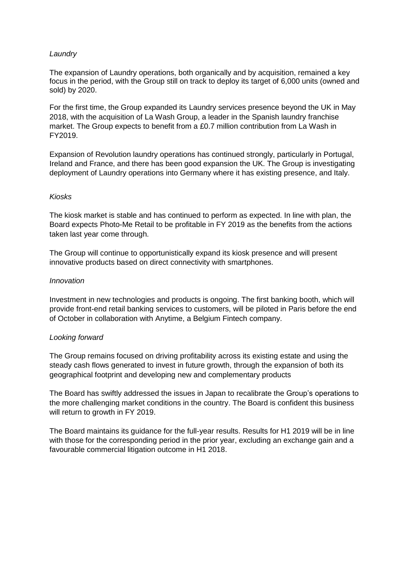## *Laundry*

The expansion of Laundry operations, both organically and by acquisition, remained a key focus in the period, with the Group still on track to deploy its target of 6,000 units (owned and sold) by 2020.

For the first time, the Group expanded its Laundry services presence beyond the UK in May 2018, with the acquisition of La Wash Group, a leader in the Spanish laundry franchise market. The Group expects to benefit from a £0.7 million contribution from La Wash in FY2019.

Expansion of Revolution laundry operations has continued strongly, particularly in Portugal, Ireland and France, and there has been good expansion the UK. The Group is investigating deployment of Laundry operations into Germany where it has existing presence, and Italy.

#### *Kiosks*

The kiosk market is stable and has continued to perform as expected. In line with plan, the Board expects Photo-Me Retail to be profitable in FY 2019 as the benefits from the actions taken last year come through.

The Group will continue to opportunistically expand its kiosk presence and will present innovative products based on direct connectivity with smartphones.

#### *Innovation*

Investment in new technologies and products is ongoing. The first banking booth, which will provide front-end retail banking services to customers, will be piloted in Paris before the end of October in collaboration with Anytime, a Belgium Fintech company.

## *Looking forward*

The Group remains focused on driving profitability across its existing estate and using the steady cash flows generated to invest in future growth, through the expansion of both its geographical footprint and developing new and complementary products

The Board has swiftly addressed the issues in Japan to recalibrate the Group's operations to the more challenging market conditions in the country. The Board is confident this business will return to growth in FY 2019.

The Board maintains its guidance for the full-year results. Results for H1 2019 will be in line with those for the corresponding period in the prior year, excluding an exchange gain and a favourable commercial litigation outcome in H1 2018.